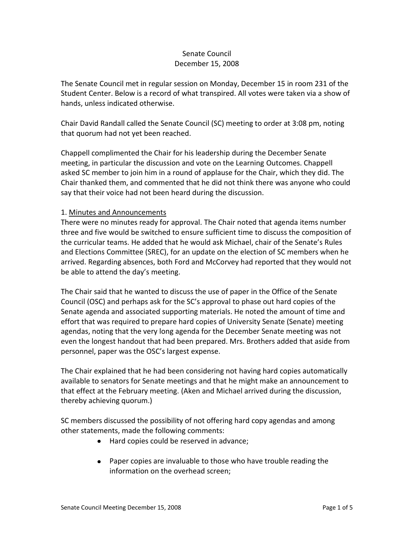## Senate Council December 15, 2008

The Senate Council met in regular session on Monday, December 15 in room 231 of the Student Center. Below is a record of what transpired. All votes were taken via a show of hands, unless indicated otherwise.

Chair David Randall called the Senate Council (SC) meeting to order at 3:08 pm, noting that quorum had not yet been reached.

Chappell complimented the Chair for his leadership during the December Senate meeting, in particular the discussion and vote on the Learning Outcomes. Chappell asked SC member to join him in a round of applause for the Chair, which they did. The Chair thanked them, and commented that he did not think there was anyone who could say that their voice had not been heard during the discussion.

### 1. Minutes and Announcements

There were no minutes ready for approval. The Chair noted that agenda items number three and five would be switched to ensure sufficient time to discuss the composition of the curricular teams. He added that he would ask Michael, chair of the Senate's Rules and Elections Committee (SREC), for an update on the election of SC members when he arrived. Regarding absences, both Ford and McCorvey had reported that they would not be able to attend the day's meeting.

The Chair said that he wanted to discuss the use of paper in the Office of the Senate Council (OSC) and perhaps ask for the SC's approval to phase out hard copies of the Senate agenda and associated supporting materials. He noted the amount of time and effort that was required to prepare hard copies of University Senate (Senate) meeting agendas, noting that the very long agenda for the December Senate meeting was not even the longest handout that had been prepared. Mrs. Brothers added that aside from personnel, paper was the OSC's largest expense.

The Chair explained that he had been considering not having hard copies automatically available to senators for Senate meetings and that he might make an announcement to that effect at the February meeting. (Aken and Michael arrived during the discussion, thereby achieving quorum.)

SC members discussed the possibility of not offering hard copy agendas and among other statements, made the following comments:

- Hard copies could be reserved in advance;
- $\bullet$ Paper copies are invaluable to those who have trouble reading the information on the overhead screen;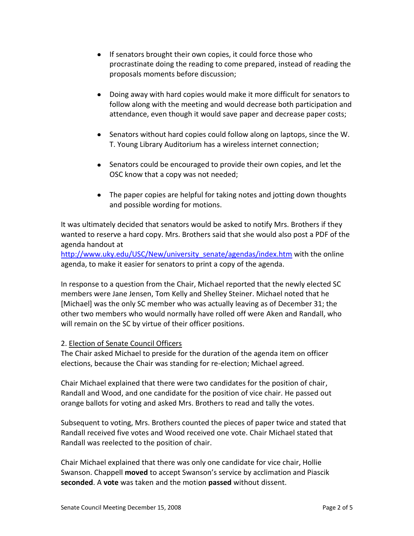- If senators brought their own copies, it could force those who  $\bullet$ procrastinate doing the reading to come prepared, instead of reading the proposals moments before discussion;
- Doing away with hard copies would make it more difficult for senators to follow along with the meeting and would decrease both participation and attendance, even though it would save paper and decrease paper costs;
- Senators without hard copies could follow along on laptops, since the W. T. Young Library Auditorium has a wireless internet connection;
- Senators could be encouraged to provide their own copies, and let the OSC know that a copy was not needed;
- The paper copies are helpful for taking notes and jotting down thoughts and possible wording for motions.

It was ultimately decided that senators would be asked to notify Mrs. Brothers if they wanted to reserve a hard copy. Mrs. Brothers said that she would also post a PDF of the agenda handout at

[http://www.uky.edu/USC/New/university\\_senate/agendas/index.htm](http://www.uky.edu/USC/New/university_senate/agendas/index.htm) with the online agenda, to make it easier for senators to print a copy of the agenda.

In response to a question from the Chair, Michael reported that the newly elected SC members were Jane Jensen, Tom Kelly and Shelley Steiner. Michael noted that he [Michael] was the only SC member who was actually leaving as of December 31; the other two members who would normally have rolled off were Aken and Randall, who will remain on the SC by virtue of their officer positions.

### 2. Election of Senate Council Officers

The Chair asked Michael to preside for the duration of the agenda item on officer elections, because the Chair was standing for re-election; Michael agreed.

Chair Michael explained that there were two candidates for the position of chair, Randall and Wood, and one candidate for the position of vice chair. He passed out orange ballots for voting and asked Mrs. Brothers to read and tally the votes.

Subsequent to voting, Mrs. Brothers counted the pieces of paper twice and stated that Randall received five votes and Wood received one vote. Chair Michael stated that Randall was reelected to the position of chair.

Chair Michael explained that there was only one candidate for vice chair, Hollie Swanson. Chappell **moved** to accept Swanson's service by acclimation and Piascik **seconded**. A **vote** was taken and the motion **passed** without dissent.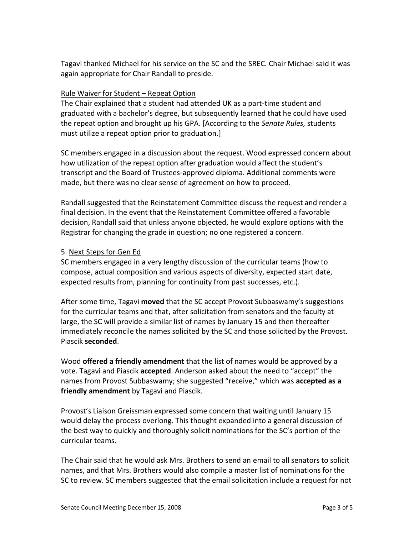Tagavi thanked Michael for his service on the SC and the SREC. Chair Michael said it was again appropriate for Chair Randall to preside.

### Rule Waiver for Student – Repeat Option

The Chair explained that a student had attended UK as a part-time student and graduated with a bachelor's degree, but subsequently learned that he could have used the repeat option and brought up his GPA. [According to the *Senate Rules,* students must utilize a repeat option prior to graduation.]

SC members engaged in a discussion about the request. Wood expressed concern about how utilization of the repeat option after graduation would affect the student's transcript and the Board of Trustees-approved diploma. Additional comments were made, but there was no clear sense of agreement on how to proceed.

Randall suggested that the Reinstatement Committee discuss the request and render a final decision. In the event that the Reinstatement Committee offered a favorable decision, Randall said that unless anyone objected, he would explore options with the Registrar for changing the grade in question; no one registered a concern.

#### 5. Next Steps for Gen Ed

SC members engaged in a very lengthy discussion of the curricular teams (how to compose, actual composition and various aspects of diversity, expected start date, expected results from, planning for continuity from past successes, etc.).

After some time, Tagavi **moved** that the SC accept Provost Subbaswamy's suggestions for the curricular teams and that, after solicitation from senators and the faculty at large, the SC will provide a similar list of names by January 15 and then thereafter immediately reconcile the names solicited by the SC and those solicited by the Provost. Piascik **seconded**.

Wood **offered a friendly amendment** that the list of names would be approved by a vote. Tagavi and Piascik **accepted**. Anderson asked about the need to "accept" the names from Provost Subbaswamy; she suggested "receive," which was **accepted as a friendly amendment** by Tagavi and Piascik.

Provost's Liaison Greissman expressed some concern that waiting until January 15 would delay the process overlong. This thought expanded into a general discussion of the best way to quickly and thoroughly solicit nominations for the SC's portion of the curricular teams.

The Chair said that he would ask Mrs. Brothers to send an email to all senators to solicit names, and that Mrs. Brothers would also compile a master list of nominations for the SC to review. SC members suggested that the email solicitation include a request for not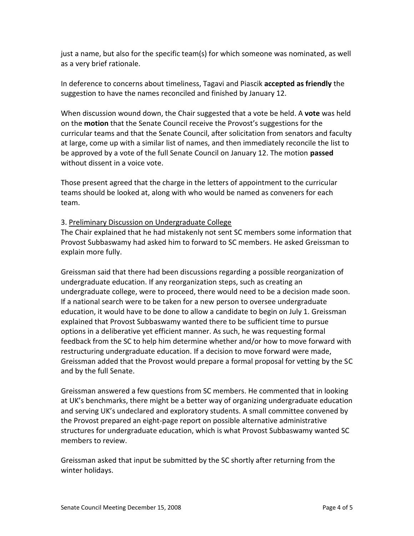just a name, but also for the specific team(s) for which someone was nominated, as well as a very brief rationale.

In deference to concerns about timeliness, Tagavi and Piascik **accepted as friendly** the suggestion to have the names reconciled and finished by January 12.

When discussion wound down, the Chair suggested that a vote be held. A **vote** was held on the **motion** that the Senate Council receive the Provost's suggestions for the curricular teams and that the Senate Council, after solicitation from senators and faculty at large, come up with a similar list of names, and then immediately reconcile the list to be approved by a vote of the full Senate Council on January 12. The motion **passed** without dissent in a voice vote.

Those present agreed that the charge in the letters of appointment to the curricular teams should be looked at, along with who would be named as conveners for each team.

### 3. Preliminary Discussion on Undergraduate College

The Chair explained that he had mistakenly not sent SC members some information that Provost Subbaswamy had asked him to forward to SC members. He asked Greissman to explain more fully.

Greissman said that there had been discussions regarding a possible reorganization of undergraduate education. If any reorganization steps, such as creating an undergraduate college, were to proceed, there would need to be a decision made soon. If a national search were to be taken for a new person to oversee undergraduate education, it would have to be done to allow a candidate to begin on July 1. Greissman explained that Provost Subbaswamy wanted there to be sufficient time to pursue options in a deliberative yet efficient manner. As such, he was requesting formal feedback from the SC to help him determine whether and/or how to move forward with restructuring undergraduate education. If a decision to move forward were made, Greissman added that the Provost would prepare a formal proposal for vetting by the SC and by the full Senate.

Greissman answered a few questions from SC members. He commented that in looking at UK's benchmarks, there might be a better way of organizing undergraduate education and serving UK's undeclared and exploratory students. A small committee convened by the Provost prepared an eight-page report on possible alternative administrative structures for undergraduate education, which is what Provost Subbaswamy wanted SC members to review.

Greissman asked that input be submitted by the SC shortly after returning from the winter holidays.